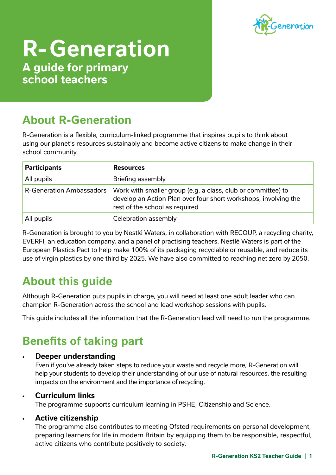

# **R- Generation A guide for primary school teachers**

## **About R-Generation**

R-Generation is a flexible, curriculum-linked programme that inspires pupils to think about using our planet's resources sustainably and become active citizens to make change in their school community.

| <b>Participants</b>             | <b>Resources</b>                                                                                                                                                  |
|---------------------------------|-------------------------------------------------------------------------------------------------------------------------------------------------------------------|
| All pupils                      | Briefing assembly                                                                                                                                                 |
| <b>R-Generation Ambassadors</b> | Work with smaller group (e.g. a class, club or committee) to<br>develop an Action Plan over four short workshops, involving the<br>rest of the school as required |
| All pupils                      | Celebration assembly                                                                                                                                              |

R-Generation is brought to you by Nestlé Waters, in collaboration with RECOUP, a recycling charity, EVERFI, an education company, and a panel of practising teachers. Nestlé Waters is part of the European Plastics Pact to help make 100% of its packaging recyclable or reusable, and reduce its use of virgin plastics by one third by 2025. We have also committed to reaching net zero by 2050.

## **About this guide**

Although R-Generation puts pupils in charge, you will need at least one adult leader who can champion R-Generation across the school and lead workshop sessions with pupils.

This guide includes all the information that the R-Generation lead will need to run the programme.

## **Benefits of taking part**

### • **Deeper understanding**

Even if you've already taken steps to reduce your waste and recycle more, R-Generation will help your students to develop their understanding of our use of natural resources, the resulting impacts on the environment and the importance of recycling.

#### • **Curriculum links**

The programme supports curriculum learning in PSHE, Citizenship and Science.

### • **Active citizenship**

The programme also contributes to meeting Ofsted requirements on personal development, preparing learners for life in modern Britain by equipping them to be responsible, respectful, active citizens who contribute positively to society.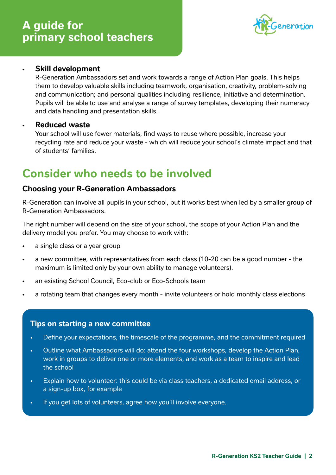

#### • **Skill development**

R-Generation Ambassadors set and work towards a range of Action Plan goals. This helps them to develop valuable skills including teamwork, organisation, creativity, problem-solving and communication; and personal qualities including resilience, initiative and determination. Pupils will be able to use and analyse a range of survey templates, developing their numeracy and data handling and presentation skills.

#### • **Reduced waste**

Your school will use fewer materials, find ways to reuse where possible, increase your recycling rate and reduce your waste - which will reduce your school's climate impact and that of students' families.

### **Consider who needs to be involved**

### **Choosing your R-Generation Ambassadors**

R-Generation can involve all pupils in your school, but it works best when led by a smaller group of R-Generation Ambassadors.

The right number will depend on the size of your school, the scope of your Action Plan and the delivery model you prefer. You may choose to work with:

- a single class or a year group
- a new committee, with representatives from each class (10-20 can be a good number the maximum is limited only by your own ability to manage volunteers).
- an existing School Council, Eco-club or Eco-Schools team
- a rotating team that changes every month invite volunteers or hold monthly class elections

#### **Tips on starting a new committee**

- Define your expectations, the timescale of the programme, and the commitment required
- Outline what Ambassadors will do: attend the four workshops, develop the Action Plan, work in groups to deliver one or more elements, and work as a team to inspire and lead the school
- Explain how to volunteer: this could be via class teachers, a dedicated email address, or a sign-up box, for example
- If you get lots of volunteers, agree how you'll involve everyone.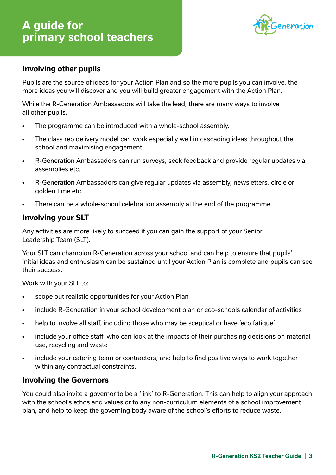

### **Involving other pupils**

Pupils are the source of ideas for your Action Plan and so the more pupils you can involve, the more ideas you will discover and you will build greater engagement with the Action Plan.

While the R-Generation Ambassadors will take the lead, there are many ways to involve all other pupils.

- The programme can be introduced with a whole-school assembly.
- The class rep delivery model can work especially well in cascading ideas throughout the school and maximising engagement.
- R-Generation Ambassadors can run surveys, seek feedback and provide regular updates via assemblies etc.
- R-Generation Ambassadors can give regular updates via assembly, newsletters, circle or golden time etc.
- There can be a whole-school celebration assembly at the end of the programme.

### **Involving your SLT**

Any activities are more likely to succeed if you can gain the support of your Senior Leadership Team (SLT).

Your SLT can champion R-Generation across your school and can help to ensure that pupils' initial ideas and enthusiasm can be sustained until your Action Plan is complete and pupils can see their success.

Work with your SLT to:

- scope out realistic opportunities for your Action Plan
- include R-Generation in your school development plan or eco-schools calendar of activities
- help to involve all staff, including those who may be sceptical or have 'eco fatigue'
- include your office staff, who can look at the impacts of their purchasing decisions on material use, recycling and waste
- include your catering team or contractors, and help to find positive ways to work together within any contractual constraints.

### **Involving the Governors**

You could also invite a governor to be a 'link' to R-Generation. This can help to align your approach with the school's ethos and values or to any non-curriculum elements of a school improvement plan, and help to keep the governing body aware of the school's efforts to reduce waste.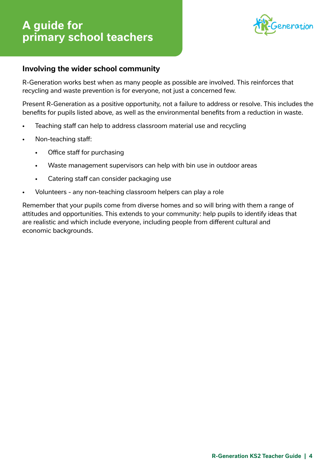

### **Involving the wider school community**

R-Generation works best when as many people as possible are involved. This reinforces that recycling and waste prevention is for everyone, not just a concerned few.

Present R-Generation as a positive opportunity, not a failure to address or resolve. This includes the benefits for pupils listed above, as well as the environmental benefits from a reduction in waste.

- Teaching staff can help to address classroom material use and recycling
- Non-teaching staff:
	- Office staff for purchasing
	- Waste management supervisors can help with bin use in outdoor areas
	- Catering staff can consider packaging use
- Volunteers any non-teaching classroom helpers can play a role

Remember that your pupils come from diverse homes and so will bring with them a range of attitudes and opportunities. This extends to your community: help pupils to identify ideas that are realistic and which include everyone, including people from different cultural and economic backgrounds.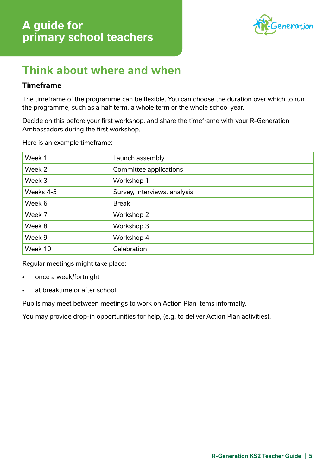

## **Think about where and when**

### **Timeframe**

The timeframe of the programme can be flexible. You can choose the duration over which to run the programme, such as a half term, a whole term or the whole school year.

Decide on this before your first workshop, and share the timeframe with your R-Generation Ambassadors during the first workshop.

Here is an example timeframe:

| Week 1    | Launch assembly              |
|-----------|------------------------------|
| Week 2    | Committee applications       |
| Week 3    | Workshop 1                   |
| Weeks 4-5 | Survey, interviews, analysis |
| Week 6    | <b>Break</b>                 |
| Week 7    | Workshop 2                   |
| Week 8    | Workshop 3                   |
| Week 9    | Workshop 4                   |
| Week 10   | Celebration                  |

Regular meetings might take place:

- once a week/fortnight
- at breaktime or after school.

Pupils may meet between meetings to work on Action Plan items informally.

You may provide drop-in opportunities for help, (e.g. to deliver Action Plan activities).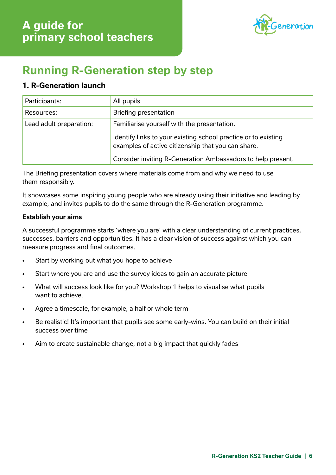

## **Running R-Generation step by step**

### **1. R-Generation launch**

| Participants:           | All pupils                                                                                                           |
|-------------------------|----------------------------------------------------------------------------------------------------------------------|
| Resources:              | Briefing presentation                                                                                                |
| Lead adult preparation: | Familiarise yourself with the presentation.                                                                          |
|                         | Identify links to your existing school practice or to existing<br>examples of active citizenship that you can share. |
|                         | Consider inviting R-Generation Ambassadors to help present.                                                          |

The Briefing presentation covers where materials come from and why we need to use them responsibly.

It showcases some inspiring young people who are already using their initiative and leading by example, and invites pupils to do the same through the R-Generation programme.

#### **Establish your aims**

A successful programme starts 'where you are' with a clear understanding of current practices, successes, barriers and opportunities. It has a clear vision of success against which you can measure progress and final outcomes.

- Start by working out what you hope to achieve
- Start where you are and use the survey ideas to gain an accurate picture
- What will success look like for you? Workshop 1 helps to visualise what pupils want to achieve.
- Agree a timescale, for example, a half or whole term
- Be realistic! It's important that pupils see some early-wins. You can build on their initial success over time
- Aim to create sustainable change, not a big impact that quickly fades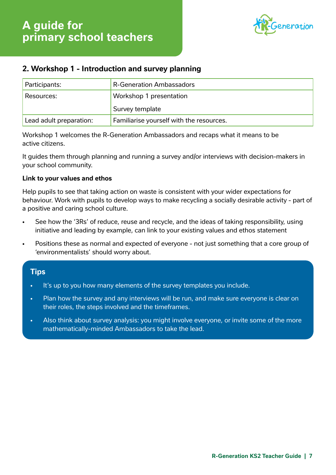

### **2. Workshop 1 - Introduction and survey planning**

| Participants:           | <b>R-Generation Ambassadors</b>          |
|-------------------------|------------------------------------------|
| Resources:              | Workshop 1 presentation                  |
|                         | Survey template                          |
| Lead adult preparation: | Familiarise yourself with the resources. |

Workshop 1 welcomes the R-Generation Ambassadors and recaps what it means to be active citizens.

It guides them through planning and running a survey and/or interviews with decision-makers in your school community.

#### **Link to your values and ethos**

Help pupils to see that taking action on waste is consistent with your wider expectations for behaviour. Work with pupils to develop ways to make recycling a socially desirable activity - part of a positive and caring school culture.

- See how the '3Rs' of reduce, reuse and recycle, and the ideas of taking responsibility, using initiative and leading by example, can link to your existing values and ethos statement
- Positions these as normal and expected of everyone not just something that a core group of 'environmentalists' should worry about.

### **Tips**

- It's up to you how many elements of the survey templates you include.
- Plan how the survey and any interviews will be run, and make sure everyone is clear on their roles, the steps involved and the timeframes.
- Also think about survey analysis: you might involve everyone, or invite some of the more mathematically-minded Ambassadors to take the lead.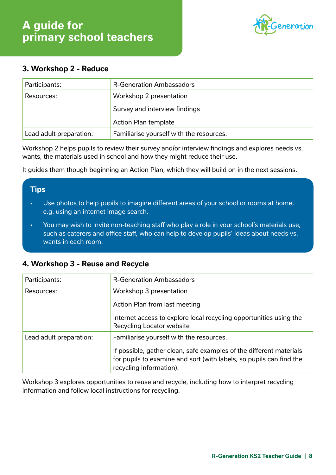

### **3. Workshop 2 - Reduce**

| Participants:           | <b>R-Generation Ambassadors</b>          |
|-------------------------|------------------------------------------|
| Resources:              | Workshop 2 presentation                  |
|                         | Survey and interview findings            |
|                         | <b>Action Plan template</b>              |
| Lead adult preparation: | Familiarise yourself with the resources. |

Workshop 2 helps pupils to review their survey and/or interview findings and explores needs vs. wants, the materials used in school and how they might reduce their use.

It guides them though beginning an Action Plan, which they will build on in the next sessions.

### **Tips**

- Use photos to help pupils to imagine different areas of your school or rooms at home, e.g. using an internet image search.
- You may wish to invite non-teaching staff who play a role in your school's materials use, such as caterers and office staff, who can help to develop pupils' ideas about needs vs. wants in each room.

### **4. Workshop 3 - Reuse and Recycle**

| Participants:           | <b>R-Generation Ambassadors</b>                                                                                                                                       |
|-------------------------|-----------------------------------------------------------------------------------------------------------------------------------------------------------------------|
| Resources:              | Workshop 3 presentation                                                                                                                                               |
|                         | Action Plan from last meeting                                                                                                                                         |
|                         | Internet access to explore local recycling opportunities using the<br>Recycling Locator website                                                                       |
| Lead adult preparation: | Familiarise yourself with the resources.                                                                                                                              |
|                         | If possible, gather clean, safe examples of the different materials<br>for pupils to examine and sort (with labels, so pupils can find the<br>recycling information). |

Workshop 3 explores opportunities to reuse and recycle, including how to interpret recycling information and follow local instructions for recycling.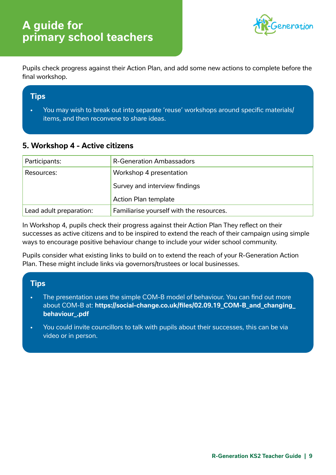

Pupils check progress against their Action Plan, and add some new actions to complete before the final workshop.

### **Tips**

• You may wish to break out into separate 'reuse' workshops around specific materials/ items, and then reconvene to share ideas.

### **5. Workshop 4 - Active citizens**

| Participants:           | <b>R-Generation Ambassadors</b>          |
|-------------------------|------------------------------------------|
| Resources:              | Workshop 4 presentation                  |
|                         | Survey and interview findings            |
|                         | <b>Action Plan template</b>              |
| Lead adult preparation: | Familiarise yourself with the resources. |

In Workshop 4, pupils check their progress against their Action Plan They reflect on their successes as active citizens and to be inspired to extend the reach of their campaign using simple ways to encourage positive behaviour change to include your wider school community.

Pupils consider what existing links to build on to extend the reach of your R-Generation Action Plan. These might include links via governors/trustees or local businesses.

### **Tips**

- The presentation uses the simple COM-B model of behaviour. You can find out more about COM-B at: **https://social-change.co.uk/files/02.09.19\_COM-B\_and\_changing\_ behaviour\_.pdf**
- You could invite councillors to talk with pupils about their successes, this can be via video or in person.